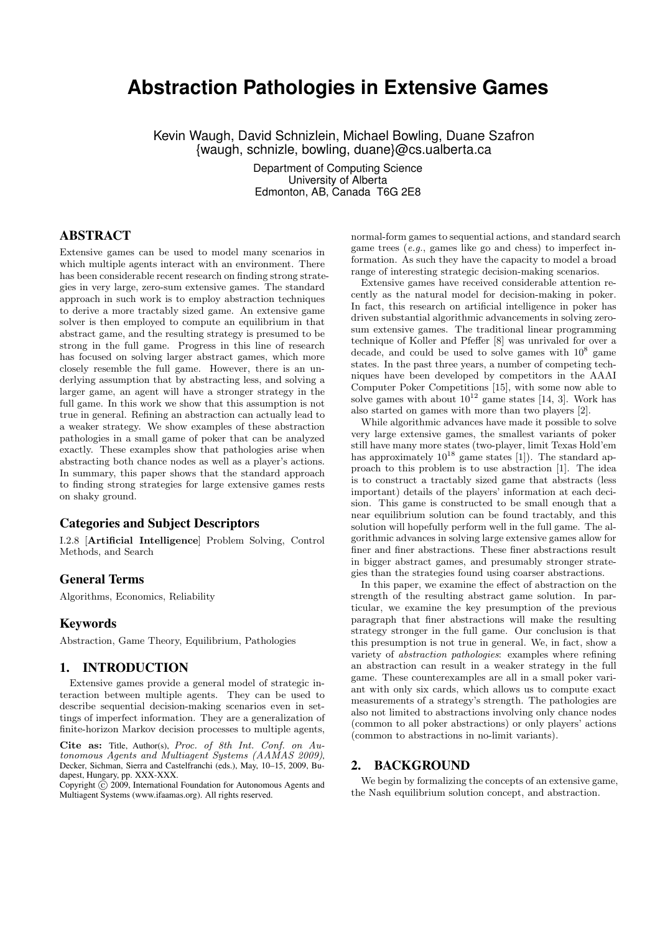# **Abstraction Pathologies in Extensive Games**

Kevin Waugh, David Schnizlein, Michael Bowling, Duane Szafron {waugh, schnizle, bowling, duane}@cs.ualberta.ca

> Department of Computing Science University of Alberta Edmonton, AB, Canada T6G 2E8

## ABSTRACT

Extensive games can be used to model many scenarios in which multiple agents interact with an environment. There has been considerable recent research on finding strong strategies in very large, zero-sum extensive games. The standard approach in such work is to employ abstraction techniques to derive a more tractably sized game. An extensive game solver is then employed to compute an equilibrium in that abstract game, and the resulting strategy is presumed to be strong in the full game. Progress in this line of research has focused on solving larger abstract games, which more closely resemble the full game. However, there is an underlying assumption that by abstracting less, and solving a larger game, an agent will have a stronger strategy in the full game. In this work we show that this assumption is not true in general. Refining an abstraction can actually lead to a weaker strategy. We show examples of these abstraction pathologies in a small game of poker that can be analyzed exactly. These examples show that pathologies arise when abstracting both chance nodes as well as a player's actions. In summary, this paper shows that the standard approach to finding strong strategies for large extensive games rests on shaky ground.

# Categories and Subject Descriptors

I.2.8 [Artificial Intelligence] Problem Solving, Control Methods, and Search

## General Terms

Algorithms, Economics, Reliability

## Keywords

Abstraction, Game Theory, Equilibrium, Pathologies

## 1. INTRODUCTION

Extensive games provide a general model of strategic interaction between multiple agents. They can be used to describe sequential decision-making scenarios even in settings of imperfect information. They are a generalization of finite-horizon Markov decision processes to multiple agents,

Cite as: Title, Author(s), Proc. of 8th Int. Conf. on Autonomous Agents and Multiagent Systems (AAMAS 2009), Decker, Sichman, Sierra and Castelfranchi (eds.), May, 10–15, 2009, Budapest, Hungary, pp. XXX-XXX.

Copyright  $\tilde{c}$  2009, International Foundation for Autonomous Agents and Multiagent Systems (www.ifaamas.org). All rights reserved.

normal-form games to sequential actions, and standard search game trees (e.g., games like go and chess) to imperfect information. As such they have the capacity to model a broad range of interesting strategic decision-making scenarios.

Extensive games have received considerable attention recently as the natural model for decision-making in poker. In fact, this research on artificial intelligence in poker has driven substantial algorithmic advancements in solving zerosum extensive games. The traditional linear programming technique of Koller and Pfeffer [8] was unrivaled for over a decade, and could be used to solve games with  $10^8$  game states. In the past three years, a number of competing techniques have been developed by competitors in the AAAI Computer Poker Competitions [15], with some now able to solve games with about  $10^{12}$  game states [14, 3]. Work has also started on games with more than two players [2].

While algorithmic advances have made it possible to solve very large extensive games, the smallest variants of poker still have many more states (two-player, limit Texas Hold'em has approximately  $10^{18}$  game states [1]). The standard approach to this problem is to use abstraction [1]. The idea is to construct a tractably sized game that abstracts (less important) details of the players' information at each decision. This game is constructed to be small enough that a near equilibrium solution can be found tractably, and this solution will hopefully perform well in the full game. The algorithmic advances in solving large extensive games allow for finer and finer abstractions. These finer abstractions result in bigger abstract games, and presumably stronger strategies than the strategies found using coarser abstractions.

In this paper, we examine the effect of abstraction on the strength of the resulting abstract game solution. In particular, we examine the key presumption of the previous paragraph that finer abstractions will make the resulting strategy stronger in the full game. Our conclusion is that this presumption is not true in general. We, in fact, show a variety of abstraction pathologies: examples where refining an abstraction can result in a weaker strategy in the full game. These counterexamples are all in a small poker variant with only six cards, which allows us to compute exact measurements of a strategy's strength. The pathologies are also not limited to abstractions involving only chance nodes (common to all poker abstractions) or only players' actions (common to abstractions in no-limit variants).

#### 2. BACKGROUND

We begin by formalizing the concepts of an extensive game, the Nash equilibrium solution concept, and abstraction.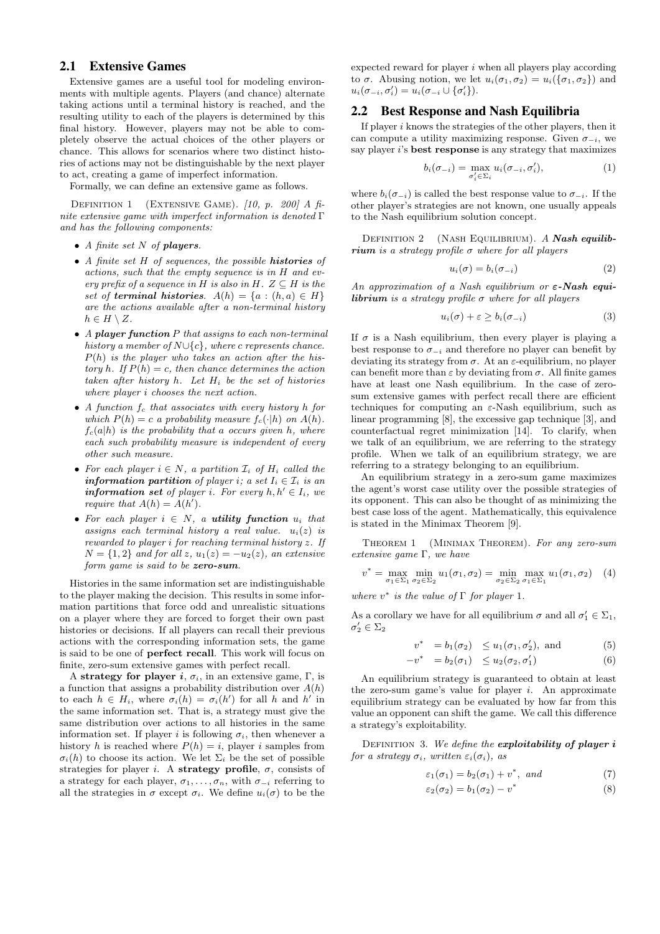## 2.1 Extensive Games

Extensive games are a useful tool for modeling environments with multiple agents. Players (and chance) alternate taking actions until a terminal history is reached, and the resulting utility to each of the players is determined by this final history. However, players may not be able to completely observe the actual choices of the other players or chance. This allows for scenarios where two distinct histories of actions may not be distinguishable by the next player to act, creating a game of imperfect information.

Formally, we can define an extensive game as follows.

DEFINITION 1 (EXTENSIVE GAME).  $[10, p. 200]$  A finite extensive game with imperfect information is denoted Γ and has the following components:

- A finite set N of *players*.
- A finite set H of sequences, the possible *histories* of actions, such that the empty sequence is in H and every prefix of a sequence in H is also in H.  $Z \subseteq H$  is the set of **terminal histories**.  $A(h) = \{a : (h, a) \in H\}$ are the actions available after a non-terminal history  $h \in H \setminus Z$ .
- A *player function* P that assigns to each non-terminal history a member of  $N \cup \{c\}$ , where c represents chance.  $P(h)$  is the player who takes an action after the history h. If  $P(h) = c$ , then chance determines the action taken after history  $h$ . Let  $H_i$  be the set of histories where player i chooses the next action.
- A function  $f_c$  that associates with every history h for which  $P(h) = c$  a probability measure  $f_c(\cdot|h)$  on  $A(h)$ .  $f_c(a|h)$  is the probability that a occurs given h, where each such probability measure is independent of every other such measure.
- For each player  $i \in N$ , a partition  $\mathcal{I}_i$  of  $H_i$  called the *information partition of player i; a set*  $I_i \in \mathcal{I}_i$  *is an information set of player i. For every h, h'*  $\in I_i$ , we require that  $A(h) = A(h')$ .
- For each player  $i \in N$ , a **utility function**  $u_i$  that assigns each terminal history a real value.  $u_i(z)$  is rewarded to player i for reaching terminal history z. If  $N = \{1, 2\}$  and for all z,  $u_1(z) = -u_2(z)$ , an extensive form game is said to be *zero-sum*.

Histories in the same information set are indistinguishable to the player making the decision. This results in some information partitions that force odd and unrealistic situations on a player where they are forced to forget their own past histories or decisions. If all players can recall their previous actions with the corresponding information sets, the game is said to be one of perfect recall. This work will focus on finite, zero-sum extensive games with perfect recall.

A strategy for player i,  $\sigma_i$ , in an extensive game, Γ, is a function that assigns a probability distribution over  $A(h)$ to each  $h \in H_i$ , where  $\sigma_i(h) = \sigma_i(h')$  for all h and h' in the same information set. That is, a strategy must give the same distribution over actions to all histories in the same information set. If player i is following  $\sigma_i$ , then whenever a history h is reached where  $P(h) = i$ , player i samples from  $\sigma_i(h)$  to choose its action. We let  $\Sigma_i$  be the set of possible strategies for player i. A strategy profile,  $\sigma$ , consists of a strategy for each player,  $\sigma_1, \ldots, \sigma_n$ , with  $\sigma_{-i}$  referring to all the strategies in  $\sigma$  except  $\sigma_i$ . We define  $u_i(\sigma)$  to be the

expected reward for player  $i$  when all players play according to  $\sigma$ . Abusing notion, we let  $u_i(\sigma_1, \sigma_2) = u_i(\{\sigma_1, \sigma_2\})$  and  $u_i(\sigma_{-i}, \sigma'_i) = u_i(\sigma_{-i} \cup {\sigma'_i}).$ 

#### 2.2 Best Response and Nash Equilibria

If player  $i$  knows the strategies of the other players, then it can compute a utility maximizing response. Given  $\sigma_{-i}$ , we say player i's **best response** is any strategy that maximizes

$$
b_i(\sigma_{-i}) = \max_{\sigma'_i \in \Sigma_i} u_i(\sigma_{-i}, \sigma'_i), \tag{1}
$$

where  $b_i(\sigma_{-i})$  is called the best response value to  $\sigma_{-i}$ . If the other player's strategies are not known, one usually appeals to the Nash equilibrium solution concept.

Definition 2 (Nash Equilibrium). A *Nash equilibrium* is a strategy profile  $\sigma$  where for all players

$$
u_i(\sigma) = b_i(\sigma_{-i})
$$
\n(2)

An approximation of a Nash equilibrium or ε*-Nash equilibrium* is a strategy profile  $\sigma$  where for all players

$$
u_i(\sigma) + \varepsilon \ge b_i(\sigma_{-i})
$$
\n(3)

If  $\sigma$  is a Nash equilibrium, then every player is playing a best response to  $\sigma_{-i}$  and therefore no player can benefit by deviating its strategy from  $\sigma$ . At an  $\varepsilon$ -equilibrium, no player can benefit more than  $\varepsilon$  by deviating from  $\sigma$ . All finite games have at least one Nash equilibrium. In the case of zerosum extensive games with perfect recall there are efficient techniques for computing an  $\varepsilon$ -Nash equilibrium, such as linear programming [8], the excessive gap technique [3], and counterfactual regret minimization [14]. To clarify, when we talk of an equilibrium, we are referring to the strategy profile. When we talk of an equilibrium strategy, we are referring to a strategy belonging to an equilibrium.

An equilibrium strategy in a zero-sum game maximizes the agent's worst case utility over the possible strategies of its opponent. This can also be thought of as minimizing the best case loss of the agent. Mathematically, this equivalence is stated in the Minimax Theorem [9].

THEOREM 1 (MINIMAX THEOREM). For any zero-sum extensive game Γ, we have

$$
v^* = \max_{\sigma_1 \in \Sigma_1} \min_{\sigma_2 \in \Sigma_2} u_1(\sigma_1, \sigma_2) = \min_{\sigma_2 \in \Sigma_2} \max_{\sigma_1 \in \Sigma_1} u_1(\sigma_1, \sigma_2) \quad (4)
$$

where  $v^*$  is the value of  $\Gamma$  for player 1.

As a corollary we have for all equilibrium  $\sigma$  and all  $\sigma'_1 \in \Sigma_1$ ,  $\sigma'_2 \in \Sigma_2$ 

$$
v^* = b_1(\sigma_2) \le u_1(\sigma_1, \sigma_2'), \text{ and } (5)
$$

$$
-v^* = b_2(\sigma_1) \le u_2(\sigma_2, \sigma'_1) \tag{6}
$$

An equilibrium strategy is guaranteed to obtain at least the zero-sum game's value for player  $i$ . An approximate equilibrium strategy can be evaluated by how far from this value an opponent can shift the game. We call this difference a strategy's exploitability.

DEFINITION 3. We define the **exploitability of player** i for a strategy  $\sigma_i$ , written  $\varepsilon_i(\sigma_i)$ , as

$$
\varepsilon_1(\sigma_1) = b_2(\sigma_1) + v^*, \ \text{and} \tag{7}
$$

$$
\varepsilon_2(\sigma_2) = b_1(\sigma_2) - v^*
$$
\n(8)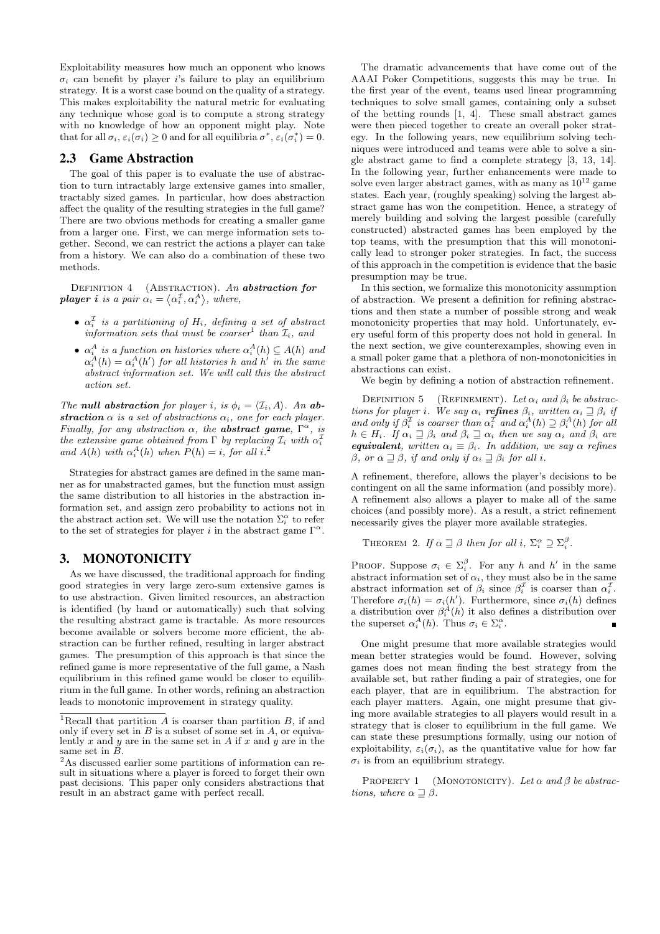Exploitability measures how much an opponent who knows  $\sigma_i$  can benefit by player i's failure to play an equilibrium strategy. It is a worst case bound on the quality of a strategy. This makes exploitability the natural metric for evaluating any technique whose goal is to compute a strong strategy with no knowledge of how an opponent might play. Note that for all  $\sigma_i$ ,  $\varepsilon_i(\sigma_i) \geq 0$  and for all equilibria  $\sigma^*$ ,  $\varepsilon_i(\sigma_i^*) = 0$ .

#### 2.3 Game Abstraction

The goal of this paper is to evaluate the use of abstraction to turn intractably large extensive games into smaller, tractably sized games. In particular, how does abstraction affect the quality of the resulting strategies in the full game? There are two obvious methods for creating a smaller game from a larger one. First, we can merge information sets together. Second, we can restrict the actions a player can take from a history. We can also do a combination of these two methods.

Definition 4 (Abstraction). An *abstraction for player i* is a pair  $\alpha_i = \langle \alpha_i^{\mathcal{I}}, \alpha_i^{\mathcal{A}} \rangle$ , where,

- $\alpha_i^L$  is a partitioning of  $H_i$ , defining a set of abstract information sets that must be coarser<sup>1</sup> than  $\mathcal{I}_i$ , and
- $\alpha_i^A$  is a function on histories where  $\alpha_i^A(h) \subseteq A(h)$  and  $\alpha_i^A(h) = \alpha_i^A(h')$  for all histories h and h' in the same abstract information set. We will call this the abstract action set.

The **null abstraction** for player i, is  $\phi_i = \langle \mathcal{I}_i, A \rangle$ . An **abstraction**  $\alpha$  is a set of abstractions  $\alpha_i$ , one for each player. Finally, for any abstraction  $\alpha$ , the **abstract game**,  $\Gamma^{\alpha}$ , is the extensive game obtained from  $\Gamma$  by replacing  $\mathcal{I}_i$  with  $\alpha_i^1$ and  $A(h)$  with  $\alpha_i^A(h)$  when  $P(h) = i$ , for all  $i$ .<sup>2</sup>

Strategies for abstract games are defined in the same manner as for unabstracted games, but the function must assign the same distribution to all histories in the abstraction information set, and assign zero probability to actions not in the abstract action set. We will use the notation  $\Sigma_i^{\alpha}$  to refer to the set of strategies for player i in the abstract game  $\Gamma^{\alpha}$ .

# 3. MONOTONICITY

As we have discussed, the traditional approach for finding good strategies in very large zero-sum extensive games is to use abstraction. Given limited resources, an abstraction is identified (by hand or automatically) such that solving the resulting abstract game is tractable. As more resources become available or solvers become more efficient, the abstraction can be further refined, resulting in larger abstract games. The presumption of this approach is that since the refined game is more representative of the full game, a Nash equilibrium in this refined game would be closer to equilibrium in the full game. In other words, refining an abstraction leads to monotonic improvement in strategy quality.

The dramatic advancements that have come out of the AAAI Poker Competitions, suggests this may be true. In the first year of the event, teams used linear programming techniques to solve small games, containing only a subset of the betting rounds [1, 4]. These small abstract games were then pieced together to create an overall poker strategy. In the following years, new equilibrium solving techniques were introduced and teams were able to solve a single abstract game to find a complete strategy [3, 13, 14]. In the following year, further enhancements were made to solve even larger abstract games, with as many as  $10^{12}$  game states. Each year, (roughly speaking) solving the largest abstract game has won the competition. Hence, a strategy of merely building and solving the largest possible (carefully constructed) abstracted games has been employed by the top teams, with the presumption that this will monotonically lead to stronger poker strategies. In fact, the success of this approach in the competition is evidence that the basic presumption may be true.

In this section, we formalize this monotonicity assumption of abstraction. We present a definition for refining abstractions and then state a number of possible strong and weak monotonicity properties that may hold. Unfortunately, every useful form of this property does not hold in general. In the next section, we give counterexamples, showing even in a small poker game that a plethora of non-monotonicities in abstractions can exist.

We begin by defining a notion of abstraction refinement.

DEFINITION 5 (REFINEMENT). Let  $\alpha_i$  and  $\beta_i$  be abstractions for player i. We say  $\alpha_i$  **refines**  $\beta_i$ , written  $\alpha_i \supseteq \beta_i$  if and only if  $\beta_i^{\mathcal{I}}$  is coarser than  $\alpha_i^{\mathcal{I}}$  and  $\alpha_i^A(h) \supseteq \beta_i^A(h)$  for all  $h \in H_i$ . If  $\alpha_i \supseteq \beta_i$  and  $\beta_i \supseteq \alpha_i$  then we say  $\alpha_i$  and  $\beta_i$  are *equivalent, written*  $\alpha_i \equiv \beta_i$ . In addition, we say  $\alpha$  refines β, or  $\alpha \sqsupseteq \beta$ , if and only if  $\alpha_i \sqsupseteq \beta_i$  for all i.

A refinement, therefore, allows the player's decisions to be contingent on all the same information (and possibly more). A refinement also allows a player to make all of the same choices (and possibly more). As a result, a strict refinement necessarily gives the player more available strategies.

```
THEOREM 2. If \alpha \sqsupseteq \beta then for all i, \Sigma_i^{\alpha} \supseteq \Sigma_i^{\beta}.
```
PROOF. Suppose  $\sigma_i \in \Sigma_i^{\beta}$ . For any h and h' in the same abstract information set of  $\alpha_i$ , they must also be in the same abstract information set of  $\beta_i$  since  $\beta_i^{\perp}$  is coarser than  $\alpha_i^{\perp}$ . Therefore  $\sigma_i(h) = \sigma_i(h')$ . Furthermore, since  $\sigma_i(h)$  defines a distribution over  $\beta_i^A(h)$  it also defines a distribution over the superset  $\alpha_i^A(h)$ . Thus  $\sigma_i \in \Sigma_i^{\alpha}$ .

One might presume that more available strategies would mean better strategies would be found. However, solving games does not mean finding the best strategy from the available set, but rather finding a pair of strategies, one for each player, that are in equilibrium. The abstraction for each player matters. Again, one might presume that giving more available strategies to all players would result in a strategy that is closer to equilibrium in the full game. We can state these presumptions formally, using our notion of exploitability,  $\varepsilon_i(\sigma_i)$ , as the quantitative value for how far  $\sigma_i$  is from an equilibrium strategy.

PROPERTY 1 (MONOTONICITY). Let  $\alpha$  and  $\beta$  be abstractions, where  $\alpha \sqsupseteq \beta$ .

<sup>&</sup>lt;sup>1</sup>Recall that partition A is coarser than partition B, if and only if every set in  $B$  is a subset of some set in  $A$ , or equivalently x and y are in the same set in A if x and y are in the same set in B.

 $2$ As discussed earlier some partitions of information can result in situations where a player is forced to forget their own past decisions. This paper only considers abstractions that result in an abstract game with perfect recall.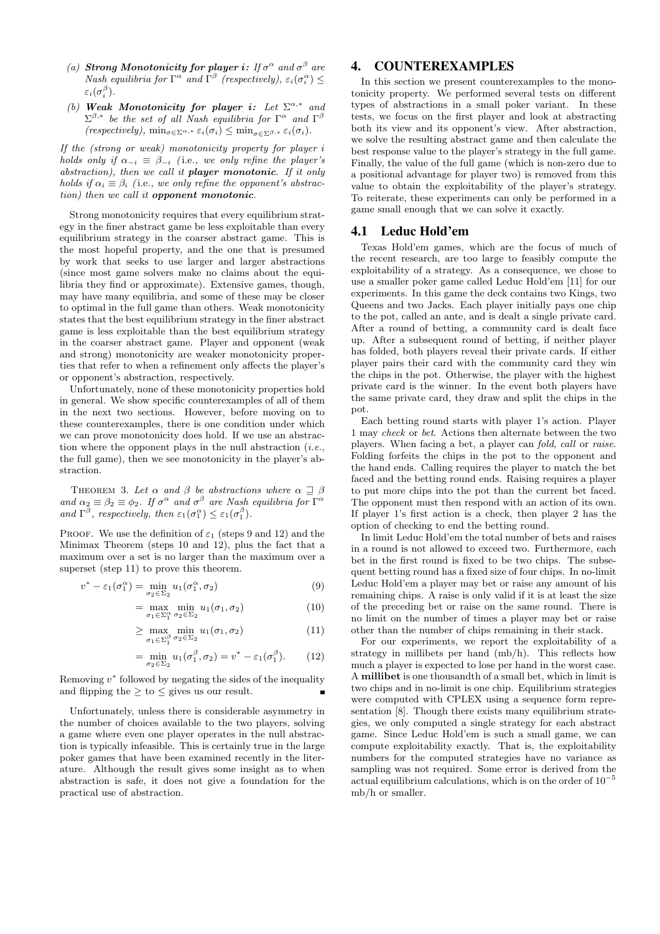- (a) **Strong Monotonicity for player i**: If  $\sigma^{\alpha}$  and  $\sigma^{\beta}$  are  $Nash$  equilibria for  $\Gamma^{\alpha}$  and  $\Gamma^{\beta}$  (respectively),  $\varepsilon_i(\sigma_i^{\alpha}) \leq$  $\varepsilon_i(\sigma_i^\beta).$
- (b) **Weak Monotonicity for player i:** Let  $\Sigma^{\alpha,*}$  and  $\Sigma^{\beta,*}$  be the set of all Nash equilibria for  $\Gamma^{\alpha}$  and  $\Gamma^{\beta}$  $(respectively)$ ,  $\min_{\sigma \in \Sigma^{\alpha,*}} \varepsilon_i(\sigma_i) \leq \min_{\sigma \in \Sigma^{\beta,*}} \varepsilon_i(\sigma_i)$ .

If the (strong or weak) monotonicity property for player i holds only if  $\alpha_{-i} \equiv \beta_{-i}$  (i.e., we only refine the player's abstraction), then we call it *player monotonic*. If it only holds if  $\alpha_i \equiv \beta_i$  (i.e., we only refine the opponent's abstraction) then we call it *opponent monotonic*.

Strong monotonicity requires that every equilibrium strategy in the finer abstract game be less exploitable than every equilibrium strategy in the coarser abstract game. This is the most hopeful property, and the one that is presumed by work that seeks to use larger and larger abstractions (since most game solvers make no claims about the equilibria they find or approximate). Extensive games, though, may have many equilibria, and some of these may be closer to optimal in the full game than others. Weak monotonicity states that the best equilibrium strategy in the finer abstract game is less exploitable than the best equilibrium strategy in the coarser abstract game. Player and opponent (weak and strong) monotonicity are weaker monotonicity properties that refer to when a refinement only affects the player's or opponent's abstraction, respectively.

Unfortunately, none of these monotonicity properties hold in general. We show specific counterexamples of all of them in the next two sections. However, before moving on to these counterexamples, there is one condition under which we can prove monotonicity does hold. If we use an abstraction where the opponent plays in the null abstraction  $(i.e.,$ the full game), then we see monotonicity in the player's abstraction.

THEOREM 3. Let  $\alpha$  and  $\beta$  be abstractions where  $\alpha \supseteq \beta$ and  $\alpha_2 \equiv \beta_2 \equiv \phi_2$ . If  $\sigma^{\alpha}$  and  $\sigma^{\beta}$  are Nash equilibria for  $\Gamma^{\alpha}$ and  $\Gamma^{\beta}$ , respectively, then  $\varepsilon_1(\sigma_1^{\alpha}) \leq \varepsilon_1(\sigma_1^{\beta})$ .

PROOF. We use the definition of  $\varepsilon_1$  (steps 9 and 12) and the Minimax Theorem (steps 10 and 12), plus the fact that a maximum over a set is no larger than the maximum over a superset (step 11) to prove this theorem.

$$
v^* - \varepsilon_1(\sigma_1^{\alpha}) = \min_{\sigma_2 \in \Sigma_2} u_1(\sigma_1^{\alpha}, \sigma_2)
$$
\n(9)

$$
= \max_{\sigma_1 \in \Sigma_1^{\alpha}} \min_{\sigma_2 \in \Sigma_2} u_1(\sigma_1, \sigma_2)
$$
 (10)

$$
\geq \max_{\sigma_1 \in \Sigma_1^{\beta}} \min_{\sigma_2 \in \Sigma_2} u_1(\sigma_1, \sigma_2) \tag{11}
$$

$$
= \min_{\sigma_2 \in \Sigma_2} u_1(\sigma_1^{\beta}, \sigma_2) = v^* - \varepsilon_1(\sigma_1^{\beta}). \tag{12}
$$

Removing  $v^*$  followed by negating the sides of the inequality and flipping the  $\geq$  to  $\leq$  gives us our result.

Unfortunately, unless there is considerable asymmetry in the number of choices available to the two players, solving a game where even one player operates in the null abstraction is typically infeasible. This is certainly true in the large poker games that have been examined recently in the literature. Although the result gives some insight as to when abstraction is safe, it does not give a foundation for the practical use of abstraction.

# 4. COUNTEREXAMPLES

In this section we present counterexamples to the monotonicity property. We performed several tests on different types of abstractions in a small poker variant. In these tests, we focus on the first player and look at abstracting both its view and its opponent's view. After abstraction, we solve the resulting abstract game and then calculate the best response value to the player's strategy in the full game. Finally, the value of the full game (which is non-zero due to a positional advantage for player two) is removed from this value to obtain the exploitability of the player's strategy. To reiterate, these experiments can only be performed in a game small enough that we can solve it exactly.

#### 4.1 Leduc Hold'em

Texas Hold'em games, which are the focus of much of the recent research, are too large to feasibly compute the exploitability of a strategy. As a consequence, we chose to use a smaller poker game called Leduc Hold'em [11] for our experiments. In this game the deck contains two Kings, two Queens and two Jacks. Each player initially pays one chip to the pot, called an ante, and is dealt a single private card. After a round of betting, a community card is dealt face up. After a subsequent round of betting, if neither player has folded, both players reveal their private cards. If either player pairs their card with the community card they win the chips in the pot. Otherwise, the player with the highest private card is the winner. In the event both players have the same private card, they draw and split the chips in the pot.

Each betting round starts with player 1's action. Player 1 may check or bet. Actions then alternate between the two players. When facing a bet, a player can fold, call or raise. Folding forfeits the chips in the pot to the opponent and the hand ends. Calling requires the player to match the bet faced and the betting round ends. Raising requires a player to put more chips into the pot than the current bet faced. The opponent must then respond with an action of its own. If player 1's first action is a check, then player 2 has the option of checking to end the betting round.

In limit Leduc Hold'em the total number of bets and raises in a round is not allowed to exceed two. Furthermore, each bet in the first round is fixed to be two chips. The subsequent betting round has a fixed size of four chips. In no-limit Leduc Hold'em a player may bet or raise any amount of his remaining chips. A raise is only valid if it is at least the size of the preceding bet or raise on the same round. There is no limit on the number of times a player may bet or raise other than the number of chips remaining in their stack.

For our experiments, we report the exploitability of a strategy in millibets per hand (mb/h). This reflects how much a player is expected to lose per hand in the worst case. A millibet is one thousandth of a small bet, which in limit is two chips and in no-limit is one chip. Equilibrium strategies were computed with CPLEX using a sequence form representation [8]. Though there exists many equilibrium strategies, we only computed a single strategy for each abstract game. Since Leduc Hold'em is such a small game, we can compute exploitability exactly. That is, the exploitability numbers for the computed strategies have no variance as sampling was not required. Some error is derived from the actual equilibrium calculations, which is on the order of  $10^{-5}$ mb/h or smaller.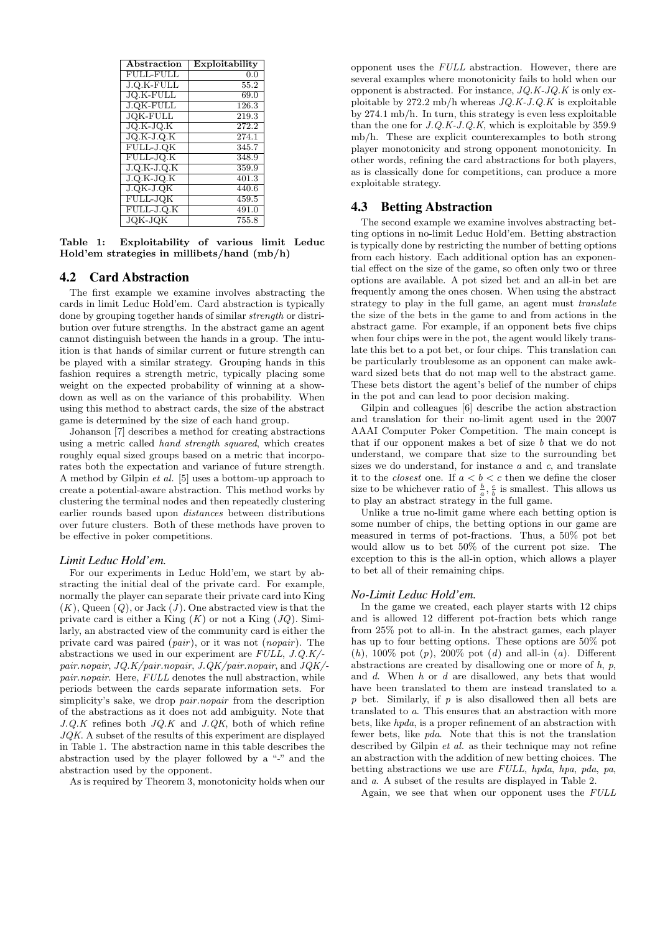| Abstraction      | Exploitability     |
|------------------|--------------------|
| <b>FULL-FULL</b> | 0.0                |
| $J.Q.K-FULL$     | 55.2               |
| <b>JO.K-FULL</b> | 69.0               |
| <b>J.QK-FULL</b> | 126.3              |
| <b>JQK-FULL</b>  | 219.3              |
| $JO.K-JO.K$      | $\overline{272.2}$ |
| $JO.K-J.O.K$     | 274.1              |
| FULL-J.QK        | 345.7              |
| FULL-JQ.K        | 348.9              |
| $J.Q.K-J.Q.K$    | 359.9              |
| $J.O.K-JQ.K$     | 401.3              |
| $J. QK-J. QK$    | 440.6              |
| FULL-JQK         | 459.5              |
| FULL-J.Q.K       | 491.0              |
| <b>JQK-JQK</b>   | 755.8              |

Table 1: Exploitability of various limit Leduc Hold'em strategies in millibets/hand (mb/h)

## 4.2 Card Abstraction

The first example we examine involves abstracting the cards in limit Leduc Hold'em. Card abstraction is typically done by grouping together hands of similar strength or distribution over future strengths. In the abstract game an agent cannot distinguish between the hands in a group. The intuition is that hands of similar current or future strength can be played with a similar strategy. Grouping hands in this fashion requires a strength metric, typically placing some weight on the expected probability of winning at a showdown as well as on the variance of this probability. When using this method to abstract cards, the size of the abstract game is determined by the size of each hand group.

Johanson [7] describes a method for creating abstractions using a metric called hand strength squared, which creates roughly equal sized groups based on a metric that incorporates both the expectation and variance of future strength. A method by Gilpin et al. [5] uses a bottom-up approach to create a potential-aware abstraction. This method works by clustering the terminal nodes and then repeatedly clustering earlier rounds based upon distances between distributions over future clusters. Both of these methods have proven to be effective in poker competitions.

#### *Limit Leduc Hold'em.*

For our experiments in Leduc Hold'em, we start by abstracting the initial deal of the private card. For example, normally the player can separate their private card into King  $(K)$ , Queen  $(Q)$ , or Jack  $(J)$ . One abstracted view is that the private card is either a King  $(K)$  or not a King  $(JQ)$ . Similarly, an abstracted view of the community card is either the private card was paired (pair), or it was not (nopair). The abstractions we used in our experiment are FULL, J.Q.K/ pair.nopair, JQ.K/pair.nopair, J.QK/pair.nopair, and JQK/ pair.nopair. Here, FULL denotes the null abstraction, while periods between the cards separate information sets. For simplicity's sake, we drop *pair.nopair* from the description of the abstractions as it does not add ambiguity. Note that  $J.Q.K$  refines both  $JQ.K$  and  $J.QK$ , both of which refine JQK. A subset of the results of this experiment are displayed in Table 1. The abstraction name in this table describes the abstraction used by the player followed by a "-" and the abstraction used by the opponent.

As is required by Theorem 3, monotonicity holds when our

opponent uses the FULL abstraction. However, there are several examples where monotonicity fails to hold when our opponent is abstracted. For instance,  $JQ.K-JQ.K$  is only exploitable by  $272.2 \text{ mb/h}$  whereas  $JQ.K-J.Q.K$  is exploitable by 274.1 mb/h. In turn, this strategy is even less exploitable than the one for  $J.Q.K-J.Q.K$ , which is exploitable by 359.9 mb/h. These are explicit counterexamples to both strong player monotonicity and strong opponent monotonicity. In other words, refining the card abstractions for both players, as is classically done for competitions, can produce a more exploitable strategy.

## 4.3 Betting Abstraction

The second example we examine involves abstracting betting options in no-limit Leduc Hold'em. Betting abstraction is typically done by restricting the number of betting options from each history. Each additional option has an exponential effect on the size of the game, so often only two or three options are available. A pot sized bet and an all-in bet are frequently among the ones chosen. When using the abstract strategy to play in the full game, an agent must translate the size of the bets in the game to and from actions in the abstract game. For example, if an opponent bets five chips when four chips were in the pot, the agent would likely translate this bet to a pot bet, or four chips. This translation can be particularly troublesome as an opponent can make awkward sized bets that do not map well to the abstract game. These bets distort the agent's belief of the number of chips in the pot and can lead to poor decision making.

Gilpin and colleagues [6] describe the action abstraction and translation for their no-limit agent used in the 2007 AAAI Computer Poker Competition. The main concept is that if our opponent makes a bet of size  $b$  that we do not understand, we compare that size to the surrounding bet sizes we do understand, for instance  $a$  and  $c$ , and translate it to the *closest* one. If  $a < b < c$  then we define the closer size to be whichever ratio of  $\frac{b}{a}$ ,  $\frac{c}{b}$  is smallest. This allows us to play an abstract strategy in the full game.

Unlike a true no-limit game where each betting option is some number of chips, the betting options in our game are measured in terms of pot-fractions. Thus, a 50% pot bet would allow us to bet 50% of the current pot size. The exception to this is the all-in option, which allows a player to bet all of their remaining chips.

#### *No-Limit Leduc Hold'em.*

In the game we created, each player starts with 12 chips and is allowed 12 different pot-fraction bets which range from 25% pot to all-in. In the abstract games, each player has up to four betting options. These options are 50% pot  $(h)$ , 100% pot  $(p)$ , 200% pot  $(d)$  and all-in  $(a)$ . Different abstractions are created by disallowing one or more of  $h$ ,  $p$ , and d. When h or d are disallowed, any bets that would have been translated to them are instead translated to a  $p$  bet. Similarly, if  $p$  is also disallowed then all bets are translated to a. This ensures that an abstraction with more bets, like hpda, is a proper refinement of an abstraction with fewer bets, like pda. Note that this is not the translation described by Gilpin *et al.* as their technique may not refine an abstraction with the addition of new betting choices. The betting abstractions we use are FULL, hpda, hpa, pda, pa, and a. A subset of the results are displayed in Table 2.

Again, we see that when our opponent uses the FULL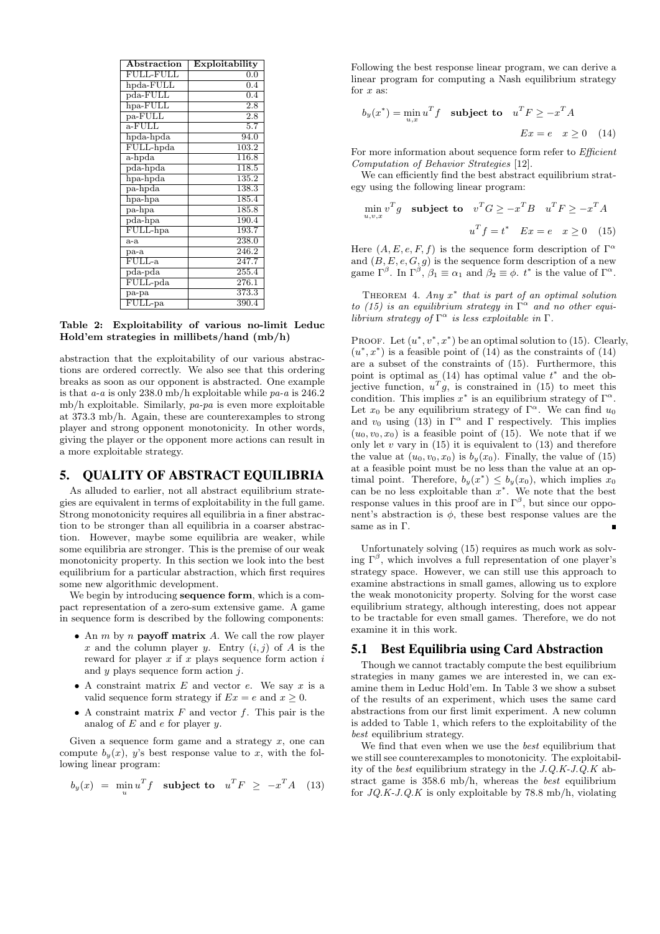| Abstraction                                   | Exploitability    |
|-----------------------------------------------|-------------------|
| <b>FULL-FULL</b>                              | 0.0               |
| $h$ pda-FULL                                  | 0.4               |
| $pda-FULL$                                    | 0.4               |
| $hpa$ -FULL                                   | $\overline{2.8}$  |
| pa-FULL                                       | $\overline{2.8}$  |
| $\overline{\text{a-FULL}}$                    | 5.7               |
| hpda-hpda                                     | $\overline{94.0}$ |
| FULL-hpda                                     | 103.2             |
| a-hpda                                        | 116.8             |
| $pda-hpda$                                    | 118.5             |
| hpa-hpda                                      | 135.2             |
| pa-hpda                                       | 138.3             |
| hpa-hpa                                       | 185.4             |
| $\overline{\text{pa-hpa}}$                    | 185.8             |
| $pda-hpa$                                     | 190.4             |
| FULL-hpa                                      | 193.7             |
| $a-a$                                         | 238.0             |
| $pa-a$                                        | 246.2             |
| $FULL-a$                                      | 247.7             |
| pda-pda                                       | 255.4             |
| $\overline{\mathrm{FULL}\text{-}pda}$         | 276.1             |
| pa-pa                                         | 373.3             |
| $\overline{\mathrm{FULL}\text{-}\mathrm{pa}}$ | 390.4             |

Table 2: Exploitability of various no-limit Leduc Hold'em strategies in millibets/hand (mb/h)

abstraction that the exploitability of our various abstractions are ordered correctly. We also see that this ordering breaks as soon as our opponent is abstracted. One example is that  $a-a$  is only 238.0 mb/h exploitable while  $pa-a$  is 246.2 mb/h exploitable. Similarly,  $pa$ - $pa$  is even more exploitable at 373.3 mb/h. Again, these are counterexamples to strong player and strong opponent monotonicity. In other words, giving the player or the opponent more actions can result in a more exploitable strategy.

## 5. QUALITY OF ABSTRACT EQUILIBRIA

As alluded to earlier, not all abstract equilibrium strategies are equivalent in terms of exploitability in the full game. Strong monotonicity requires all equilibria in a finer abstraction to be stronger than all equilibria in a coarser abstraction. However, maybe some equilibria are weaker, while some equilibria are stronger. This is the premise of our weak monotonicity property. In this section we look into the best equilibrium for a particular abstraction, which first requires some new algorithmic development.

We begin by introducing sequence form, which is a compact representation of a zero-sum extensive game. A game in sequence form is described by the following components:

- An  $m$  by  $n$  **payoff matrix**  $A$ . We call the row player x and the column player y. Entry  $(i, j)$  of A is the reward for player  $x$  if  $x$  plays sequence form action  $i$ and  $y$  plays sequence form action  $j$ .
- A constraint matrix  $E$  and vector  $e$ . We say  $x$  is a valid sequence form strategy if  $Ex = e$  and  $x \ge 0$ .
- A constraint matrix  $F$  and vector  $f$ . This pair is the analog of  $E$  and  $e$  for player  $y$ .

Given a sequence form game and a strategy  $x$ , one can compute  $b_y(x)$ , y's best response value to x, with the following linear program:

$$
b_y(x) = \min_u u^T f \quad \text{subject to} \quad u^T F \ \geq \ -x^T A \quad (13)
$$

Following the best response linear program, we can derive a linear program for computing a Nash equilibrium strategy for  $x$  as:

$$
b_y(x^*) = \min_{u,x} u^T f \quad \text{subject to} \quad u^T F \ge -x^T A
$$

$$
Ex = e \quad x \ge 0 \quad (14)
$$

For more information about sequence form refer to *Efficient* Computation of Behavior Strategies [12].

We can efficiently find the best abstract equilibrium strategy using the following linear program:

$$
\min_{u,v,x} v^T g \quad \text{subject to} \quad v^T G \ge -x^T B \quad u^T F \ge -x^T A
$$
\n
$$
u^T f = t^* \quad Ex = e \quad x \ge 0 \quad (15)
$$

Here  $(A, E, e, F, f)$  is the sequence form description of  $\Gamma^{\alpha}$ and  $(B, E, e, G, g)$  is the sequence form description of a new game  $\Gamma^{\beta}$ . In  $\Gamma^{\beta}$ ,  $\beta_1 \equiv \alpha_1$  and  $\beta_2 \equiv \phi$ .  $t^*$  is the value of  $\Gamma^{\alpha}$ .

THEOREM 4. Any  $x^*$  that is part of an optimal solution to (15) is an equilibrium strategy in  $\Gamma^{\alpha}$  and no other equilibrium strategy of  $\Gamma^{\alpha}$  is less exploitable in  $\Gamma$ .

PROOF. Let  $(u^*, v^*, x^*)$  be an optimal solution to (15). Clearly,  $(u^*, x^*)$  is a feasible point of (14) as the constraints of (14) are a subset of the constraints of (15). Furthermore, this point is optimal as  $(14)$  has optimal value  $t^*$  and the objective function,  $u^T g$ , is constrained in (15) to meet this condition. This implies  $x^*$  is an equilibrium strategy of  $\Gamma^{\alpha}$ . Let  $x_0$  be any equilibrium strategy of  $\Gamma^{\alpha}$ . We can find  $u_0$ and  $v_0$  using (13) in  $\Gamma^{\alpha}$  and  $\Gamma$  respectively. This implies  $(u_0, v_0, x_0)$  is a feasible point of (15). We note that if we only let v vary in  $(15)$  it is equivalent to  $(13)$  and therefore the value at  $(u_0, v_0, x_0)$  is  $b_y(x_0)$ . Finally, the value of (15) at a feasible point must be no less than the value at an optimal point. Therefore,  $b_y(x^*) \leq b_y(x_0)$ , which implies  $x_0$ can be no less exploitable than  $x^*$ . We note that the best response values in this proof are in  $\Gamma^{\beta}$ , but since our opponent's abstraction is  $\phi$ , these best response values are the same as in Γ.

Unfortunately solving (15) requires as much work as solving  $\Gamma^{\beta}$ , which involves a full representation of one player's strategy space. However, we can still use this approach to examine abstractions in small games, allowing us to explore the weak monotonicity property. Solving for the worst case equilibrium strategy, although interesting, does not appear to be tractable for even small games. Therefore, we do not examine it in this work.

## 5.1 Best Equilibria using Card Abstraction

Though we cannot tractably compute the best equilibrium strategies in many games we are interested in, we can examine them in Leduc Hold'em. In Table 3 we show a subset of the results of an experiment, which uses the same card abstractions from our first limit experiment. A new column is added to Table 1, which refers to the exploitability of the best equilibrium strategy.

We find that even when we use the best equilibrium that we still see counterexamples to monotonicity. The exploitability of the best equilibrium strategy in the J.Q.K-J.Q.K abstract game is 358.6 mb/h, whereas the best equilibrium for  $JQ.K-J.Q.K$  is only exploitable by 78.8 mb/h, violating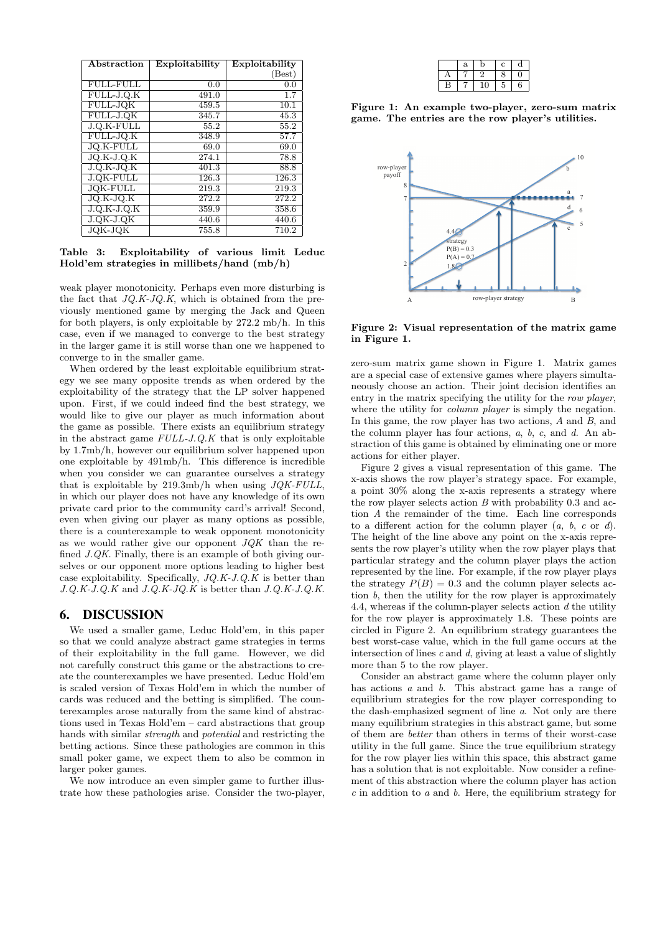| Abstraction      | Exploitability | Exploitability     |
|------------------|----------------|--------------------|
|                  |                | (Best)             |
| <b>FULL-FULL</b> | 0.0            | 0.0                |
| FULL-J.Q.K       | 491.0          | $\overline{1}$ .7  |
| FULL-JQK         | 459.5          | $\overline{10.1}$  |
| FULL-J.QK        | 345.7          | $\overline{45.3}$  |
| J.Q.K-FULL       | 55.2           | 55.2               |
| FULL-JQ.K        | 348.9          | 57.7               |
| <b>JQ.K-FULL</b> | 69.0           | 69.0               |
| $JO.K-J.Q.K$     | 274.1          | 78.8               |
| $J.O.K-JO.K$     | 401.3          | 88.8               |
| <b>J.QK-FULL</b> | 126.3          | 126.3              |
| <b>JQK-FULL</b>  | 219.3          | 219.3              |
| JQ.K-JQ.K        | 272.2          | 272.2              |
| $J.Q.K-J.Q.K$    | 359.9          | 358.6              |
| $J. QK-J. QK$    | 440.6          | $\overline{4}40.6$ |
| <b>JQK-JQK</b>   | 755.8          | 710.2              |

Table 3: Exploitability of various limit Leduc Hold'em strategies in millibets/hand (mb/h)

weak player monotonicity. Perhaps even more disturbing is the fact that  $JQ.K-JQ.K$ , which is obtained from the previously mentioned game by merging the Jack and Queen for both players, is only exploitable by 272.2 mb/h. In this case, even if we managed to converge to the best strategy in the larger game it is still worse than one we happened to converge to in the smaller game.

When ordered by the least exploitable equilibrium strategy we see many opposite trends as when ordered by the exploitability of the strategy that the LP solver happened upon. First, if we could indeed find the best strategy, we would like to give our player as much information about the game as possible. There exists an equilibrium strategy in the abstract game  $\textit{FULL-J.Q.}K$  that is only exploitable by 1.7mb/h, however our equilibrium solver happened upon one exploitable by 491mb/h. This difference is incredible when you consider we can guarantee ourselves a strategy that is exploitable by  $219.3 \text{mb/h}$  when using  $JQK$ - $FULL$ , in which our player does not have any knowledge of its own private card prior to the community card's arrival! Second, even when giving our player as many options as possible, there is a counterexample to weak opponent monotonicity as we would rather give our opponent  $JQK$  than the refined *J.QK*. Finally, there is an example of both giving ourselves or our opponent more options leading to higher best case exploitability. Specifically,  $JQ.K-J.Q.K$  is better than  $J.Q.K-J.Q.K$  and  $J.Q.K-JQ.K$  is better than  $J.Q.K-J.Q.K$ .

## 6. DISCUSSION

We used a smaller game, Leduc Hold'em, in this paper so that we could analyze abstract game strategies in terms of their exploitability in the full game. However, we did not carefully construct this game or the abstractions to create the counterexamples we have presented. Leduc Hold'em is scaled version of Texas Hold'em in which the number of cards was reduced and the betting is simplified. The counterexamples arose naturally from the same kind of abstractions used in Texas Hold'em – card abstractions that group hands with similar strength and potential and restricting the betting actions. Since these pathologies are common in this small poker game, we expect them to also be common in larger poker games.

We now introduce an even simpler game to further illustrate how these pathologies arise. Consider the two-player,

|   | a | D  | с  | α |
|---|---|----|----|---|
|   |   |    | 8  |   |
| В |   | 10 | ٠I | 6 |

Figure 1: An example two-player, zero-sum matrix game. The entries are the row player's utilities.



Figure 2: Visual representation of the matrix game in Figure 1.

zero-sum matrix game shown in Figure 1. Matrix games are a special case of extensive games where players simultaneously choose an action. Their joint decision identifies an entry in the matrix specifying the utility for the row player, where the utility for *column player* is simply the negation. In this game, the row player has two actions, A and B, and the column player has four actions, a, b, c, and d. An abstraction of this game is obtained by eliminating one or more actions for either player.

Figure 2 gives a visual representation of this game. The x-axis shows the row player's strategy space. For example, a point 30% along the x-axis represents a strategy where the row player selects action  $B$  with probability 0.3 and action A the remainder of the time. Each line corresponds to a different action for the column player  $(a, b, c \text{ or } d)$ . The height of the line above any point on the x-axis represents the row player's utility when the row player plays that particular strategy and the column player plays the action represented by the line. For example, if the row player plays the strategy  $P(B) = 0.3$  and the column player selects action  $b$ , then the utility for the row player is approximately 4.4, whereas if the column-player selects action d the utility for the row player is approximately 1.8. These points are circled in Figure 2. An equilibrium strategy guarantees the best worst-case value, which in the full game occurs at the intersection of lines  $c$  and  $d$ , giving at least a value of slightly more than 5 to the row player.

Consider an abstract game where the column player only has actions a and b. This abstract game has a range of equilibrium strategies for the row player corresponding to the dash-emphasized segment of line a. Not only are there many equilibrium strategies in this abstract game, but some of them are better than others in terms of their worst-case utility in the full game. Since the true equilibrium strategy for the row player lies within this space, this abstract game has a solution that is not exploitable. Now consider a refinement of this abstraction where the column player has action  $c$  in addition to  $a$  and  $b$ . Here, the equilibrium strategy for